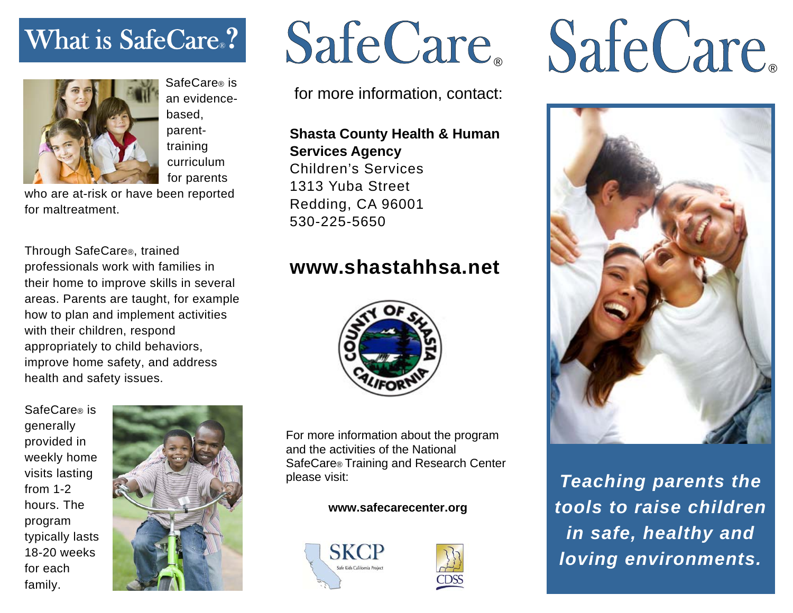# What is SafeCare®**?**



SafeCare® is an evidencebased, parenttraining curriculum for parents

who are at-risk or have been reported for maltreatment.

Through SafeCare®, trained professionals work with families in their home to improve skills in several areas. Parents are taught, for example how to plan and implement activities with their children, respond appropriately to child behaviors, improve home safety, and address health and safety issues.

SafeCare® is generally provided in weekly home visits lasting from 1-2 hours. The program typically lasts 18-20 weeks for each family.



for more information, contact:

**Shasta County Health & Human Services Agency**  Children's Services 1313 Yuba Street Redding, CA 96001 530-225-5650

### **www.shastahhsa.net**



For more information about the program and the activities of the National SafeCare® Training and Research Center please visit:

### **www.safecarecenter.org**





# SafeCare SafeCare



*Teaching parents the tools to raise children in safe, healthy and loving environments.*